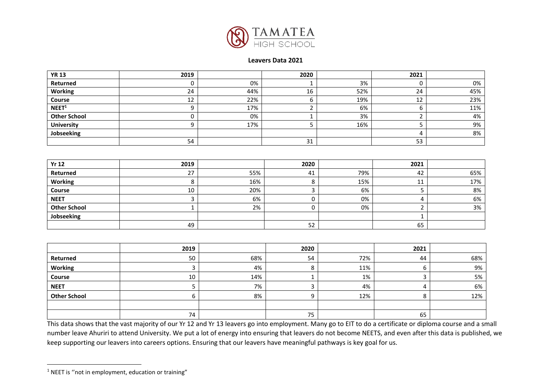

## **Leavers Data 2021**

| <b>YR 13</b>        | 2019 |     | 2020 |     | 2021 |     |
|---------------------|------|-----|------|-----|------|-----|
| Returned            |      | 0%  |      | 3%  | ີ    | 0%  |
| <b>Working</b>      | 24   | 44% | 16   | 52% | 24   | 45% |
| Course              | 12   | 22% |      | 19% | 12   | 23% |
| NEET <sup>1</sup>   |      | 17% |      | 6%  |      | 11% |
| <b>Other School</b> |      | 0%  |      | 3%  |      | 4%  |
| <b>University</b>   |      | 17% |      | 16% |      | 9%  |
| Jobseeking          |      |     |      |     |      | 8%  |
|                     | 54   |     | 31   |     | 53   |     |

| <b>Yr 12</b>        | 2019 |     | 2020 |     | 2021 |     |
|---------------------|------|-----|------|-----|------|-----|
| Returned            | 27   | 55% | 41   | 79% | 42   | 65% |
| <b>Working</b>      |      | 16% |      | 15% | 11   | 17% |
| Course              | 10   | 20% |      | 6%  |      | 8%  |
| <b>NEET</b>         |      | 6%  |      | 0%  |      | 6%  |
| <b>Other School</b> |      | 2%  |      | 0%  |      | 3%  |
| Jobseeking          |      |     |      |     |      |     |
|                     | 49   |     | 52   |     | 65   |     |

|                     | 2019 |     | 2020 |     | 2021 |     |
|---------------------|------|-----|------|-----|------|-----|
| Returned            | 50   | 68% | 54   | 72% | 44   | 68% |
| <b>Working</b>      |      | 4%  |      | 11% |      | 9%  |
| Course              | 10   | 14% |      | 1%  |      | 5%  |
| <b>NEET</b>         |      | 7%  |      | 4%  |      | 6%  |
| <b>Other School</b> |      | 8%  |      | 12% |      | 12% |
|                     |      |     |      |     |      |     |
|                     | 74   |     | 75   |     | 65   |     |

This data shows that the vast majority of our Yr 12 and Yr 13 leavers go into employment. Many go to EIT to do a certificate or diploma course and a small number leave Ahuriri to attend University. We put a lot of energy into ensuring that leavers do not become NEETS, and even after this data is published, we keep supporting our leavers into careers options. Ensuring that our leavers have meaningful pathways is key goal for us.

<sup>&</sup>lt;sup>1</sup> NEET is "not in employment, education or training"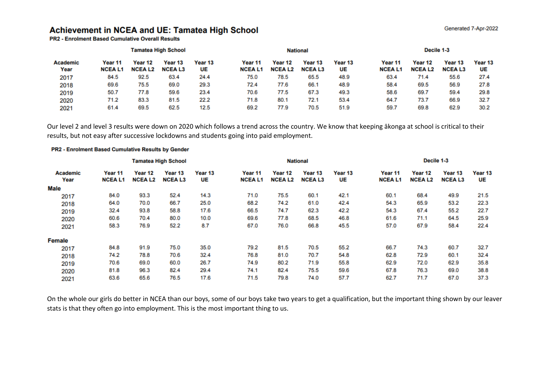## Achievement in NCEA and UE: Tamatea High School

**PR2 - Enrolment Based Cumulative Overall Results** 

|                         |                          |                          | <b>Tamatea High School</b> |               |                          |                          | <b>National</b>          | Decile 1-3    |                          |                          |                          |               |
|-------------------------|--------------------------|--------------------------|----------------------------|---------------|--------------------------|--------------------------|--------------------------|---------------|--------------------------|--------------------------|--------------------------|---------------|
| <b>Academic</b><br>Year | Year 11<br><b>NCEAL1</b> | Year 12<br><b>NCEAL2</b> | Year 13<br><b>NCEAL3</b>   | Year 13<br>UE | Year 11<br><b>NCEAL1</b> | Year 12<br><b>NCEAL2</b> | Year 13<br><b>NCEAL3</b> | Year 13<br>UE | Year 11<br><b>NCEAL1</b> | Year 12<br><b>NCEAL2</b> | Year 13<br><b>NCEAL3</b> | Year 13<br>UE |
| 2017                    | 84.5                     | 92.5                     | 63.4                       | 24.4          | 75.0                     | 78.5                     | 65.5                     | 48.9          | 63.4                     | 71.4                     | 55.6                     | 27.4          |
| 2018                    | 69.6                     | 75.5                     | 69.0                       | 29.3          | 72.4                     | 77.6                     | 66.1                     | 48.9          | 58.4                     | 69.5                     | 56.9                     | 27.8          |
| 2019                    | 50.7                     | 77.8                     | 59.6                       | 23.4          | 70.6                     | 77.5                     | 67.3                     | 49.3          | 58.6                     | 69.7                     | 59.4                     | 29.8          |
| 2020                    | 71.2                     | 83.3                     | 81.5                       | 22.2          | 71.8                     | 80.1                     | 72.1                     | 53.4          | 64.7                     | 73.7                     | 66.9                     | 32.7          |
| 2021                    | 61.4                     | 69.5                     | 62.5                       | 12.5          | 69.2                     | 77.9                     | 70.5                     | 51.9          | 59.7                     | 69.8                     | 62.9                     | 30.2          |

Our level 2 and level 3 results were down on 2020 which follows a trend across the country. We know that keeping ākonga at school is critical to their results, but not easy after successive lockdowns and students going into paid employment.

## PR2 - Enrolment Based Cumulative Results by Gender

|                         |                          |                          | <b>Tamatea High School</b> |               | <b>National</b>          |                          |                          |                          | Decile 1-3               |                          |                          |               |
|-------------------------|--------------------------|--------------------------|----------------------------|---------------|--------------------------|--------------------------|--------------------------|--------------------------|--------------------------|--------------------------|--------------------------|---------------|
| <b>Academic</b><br>Year | Year 11<br><b>NCEAL1</b> | Year 12<br><b>NCEAL2</b> | Year 13<br><b>NCEAL3</b>   | Year 13<br>UE | Year 11<br><b>NCEAL1</b> | Year 12<br><b>NCEAL2</b> | Year 13<br><b>NCEAL3</b> | Year <sub>13</sub><br>UE | Year 11<br><b>NCEAL1</b> | Year 12<br><b>NCEAL2</b> | Year 13<br><b>NCEAL3</b> | Year 13<br>UE |
| Male                    |                          |                          |                            |               |                          |                          |                          |                          |                          |                          |                          |               |
| 2017                    | 84.0                     | 93.3                     | 52.4                       | 14.3          | 71.0                     | 75.5                     | 60.1                     | 42.1                     | 60.1                     | 68.4                     | 49.9                     | 21.5          |
| 2018                    | 64.0                     | 70.0                     | 66.7                       | 25.0          | 68.2                     | 74.2                     | 61.0                     | 42.4                     | 54.3                     | 65.9                     | 53.2                     | 22.3          |
| 2019                    | 32.4                     | 93.8                     | 58.8                       | 17.6          | 66.5                     | 74.7                     | 62.3                     | 42.2                     | 54.3                     | 67.4                     | 55.2                     | 22.7          |
| 2020                    | 60.6                     | 70.4                     | 80.0                       | 10.0          | 69.6                     | 77.8                     | 68.5                     | 46.8                     | 61.6                     | 71.1                     | 64.5                     | 25.9          |
| 2021                    | 58.3                     | 76.9                     | 52.2                       | 8.7           | 67.0                     | 76.0                     | 66.8                     | 45.5                     | 57.0                     | 67.9                     | 58.4                     | 22.4          |
| <b>Female</b>           |                          |                          |                            |               |                          |                          |                          |                          |                          |                          |                          |               |
| 2017                    | 84.8                     | 91.9                     | 75.0                       | 35.0          | 79.2                     | 81.5                     | 70.5                     | 55.2                     | 66.7                     | 74.3                     | 60.7                     | 32.7          |
| 2018                    | 74.2                     | 78.8                     | 70.6                       | 32.4          | 76.8                     | 81.0                     | 70.7                     | 54.8                     | 62.8                     | 72.9                     | 60.1                     | 32.4          |
| 2019                    | 70.6                     | 69.0                     | 60.0                       | 26.7          | 74.9                     | 80.2                     | 71.9                     | 55.8                     | 62.9                     | 72.0                     | 62.9                     | 35.8          |
| 2020                    | 81.8                     | 96.3                     | 82.4                       | 29.4          | 74.1                     | 82.4                     | 75.5                     | 59.6                     | 67.8                     | 76.3                     | 69.0                     | 38.8          |
| 2021                    | 63.6                     | 65.6                     | 76.5                       | 17.6          | 71.5                     | 79.8                     | 74.0                     | 57.7                     | 62.7                     | 71.7                     | 67.0                     | 37.3          |

On the whole our girls do better in NCEA than our boys, some of our boys take two years to get a qualification, but the important thing shown by our leaver stats is that they often go into employment. This is the most important thing to us.